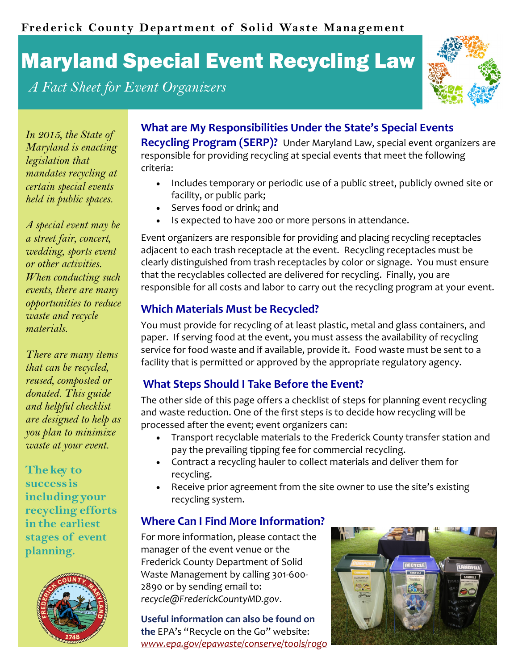# Maryland Special Event Recycling Law

*A Fact Sheet for Event Organizers*



*In 2015, the State of Maryland is enacting legislation that mandates recycling at certain special events held in public spaces.*

*A special event may be a street fair, concert, wedding, sports event or other activities. When conducting such events, there are many opportunities to reduce waste and recycle materials.*

*There are many items that can be recycled, reused, composted or donated. This guide and helpful checklist are designed to help as you plan to minimize waste at your event.*

**Thekey to success is includingyour recycling efforts in the earliest stages of event planning.**



**What are My Responsibilities Under the State's Special Events Recycling Program (SERP)?** Under Maryland Law, special event organizers are responsible for providing recycling at special events that meet the following criteria:

- Includes temporary or periodic use of a public street, publicly owned site or facility, or public park;
- Serves food or drink; and
- Is expected to have 200 or more persons in attendance.

Event organizers are responsible for providing and placing recycling receptacles adjacent to each trash receptacle at the event. Recycling receptacles must be clearly distinguished from trash receptacles by color or signage. You must ensure that the recyclables collected are delivered for recycling. Finally, you are responsible for all costs and labor to carry out the recycling program at your event.

## **Which Materials Must be Recycled?**

You must provide for recycling of at least plastic, metal and glass containers, and paper. If serving food at the event, you must assess the availability of recycling service for food waste and if available, provide it. Food waste must be sent to a facility that is permitted or approved by the appropriate regulatory agency.

## **What Steps Should I Take Before the Event?**

The other side of this page offers a checklist of steps for planning event recycling and waste reduction. One of the first steps is to decide how recycling will be processed after the event; event organizers can:

- Transport recyclable materials to the Frederick County transfer station and pay the prevailing tipping fee for commercial recycling.
- Contract a recycling hauler to collect materials and deliver them for recycling.
- Receive prior agreement from the site owner to use the site's existing recycling system.

## **Where Can I Find More Information?**

For more information, please contact the manager of the event venue or the Frederick County Department of Solid Waste Management by calling 301-600- 2890 or by sending email to: *recycle@FrederickCountyMD.gov*.

**Useful information can also be found on the** EPA's "Recycle on the Go" website: *[www.epa.gov/epawaste/conserve/tools/rogo](http://www.epa.gov/epawaste/conserve/tools/rogo/index.htm)*